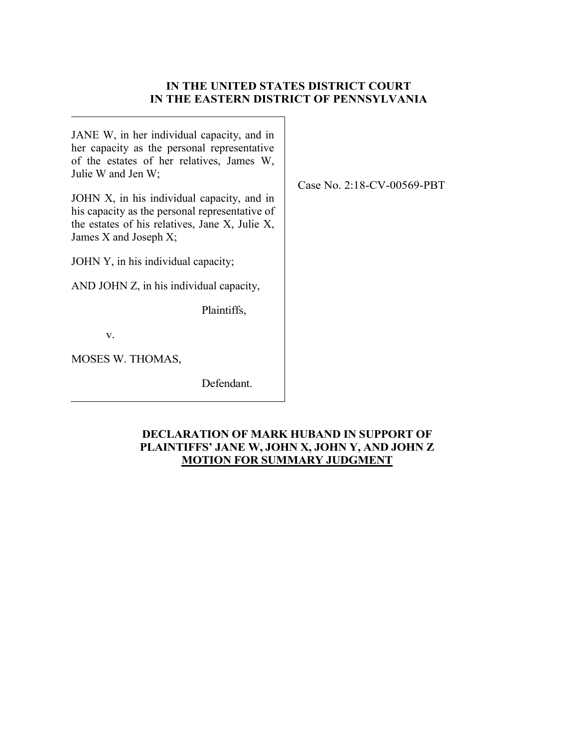# **IN THE UNITED STATES DISTRICT COURT IN THE EASTERN DISTRICT OF PENNSYLVANIA**

JANE W, in her individual capacity, and in her capacity as the personal representative of the estates of her relatives, James W, Julie W and Jen W;

JOHN X, in his individual capacity, and in his capacity as the personal representative of the estates of his relatives, Jane X, Julie X, James X and Joseph X;

JOHN Y, in his individual capacity;

AND JOHN Z, in his individual capacity,

Plaintiffs,

v.

MOSES W. THOMAS,

Defendant.

## **DECLARATION OF MARK HUBAND IN SUPPORT OF PLAINTIFFS' JANE W, JOHN X, JOHN Y, AND JOHN Z MOTION FOR SUMMARY JUDGMENT**

Case No. 2:18-CV-00569-PBT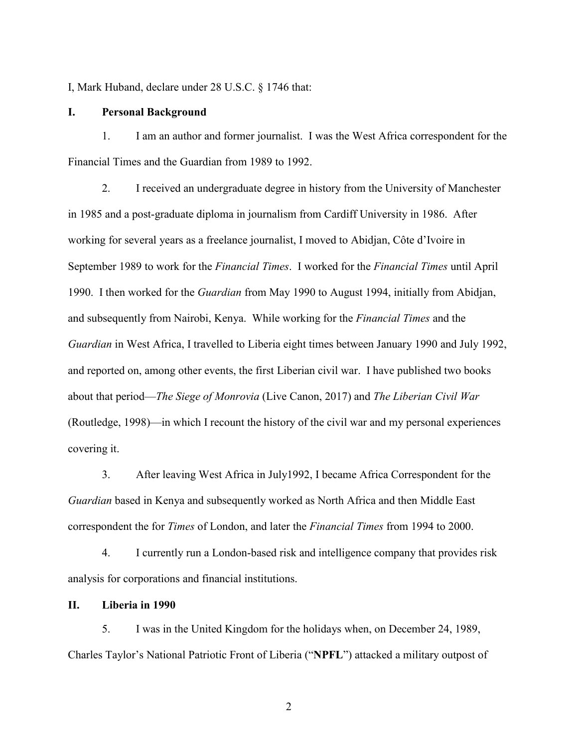I, Mark Huband, declare under 28 U.S.C. § 1746 that:

#### **I. Personal Background**

1. I am an author and former journalist. I was the West Africa correspondent for the Financial Times and the Guardian from 1989 to 1992.

2. I received an undergraduate degree in history from the University of Manchester in 1985 and a post-graduate diploma in journalism from Cardiff University in 1986. After working for several years as a freelance journalist, I moved to Abidjan, Côte d'Ivoire in September 1989 to work for the *Financial Times*. I worked for the *Financial Times* until April 1990. I then worked for the *Guardian* from May 1990 to August 1994, initially from Abidjan, and subsequently from Nairobi, Kenya. While working for the *Financial Times* and the *Guardian* in West Africa, I travelled to Liberia eight times between January 1990 and July 1992, and reported on, among other events, the first Liberian civil war. I have published two books about that period—*The Siege of Monrovia* (Live Canon, 2017) and *The Liberian Civil War* (Routledge, 1998)—in which I recount the history of the civil war and my personal experiences covering it.

3. After leaving West Africa in July1992, I became Africa Correspondent for the *Guardian* based in Kenya and subsequently worked as North Africa and then Middle East correspondent the for *Times* of London, and later the *Financial Times* from 1994 to 2000.

4. I currently run a London-based risk and intelligence company that provides risk analysis for corporations and financial institutions.

## **II. Liberia in 1990**

5. I was in the United Kingdom for the holidays when, on December 24, 1989, Charles Taylor's National Patriotic Front of Liberia ("**NPFL**") attacked a military outpost of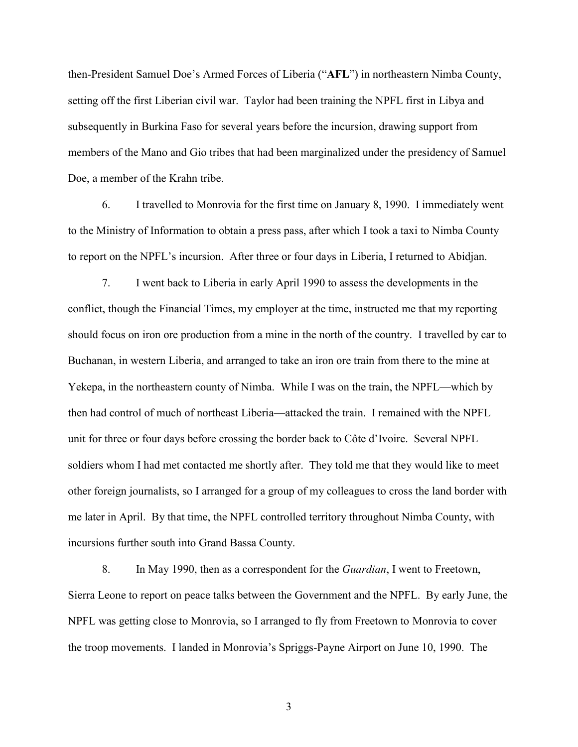then-President Samuel Doe's Armed Forces of Liberia ("**AFL**") in northeastern Nimba County, setting off the first Liberian civil war. Taylor had been training the NPFL first in Libya and subsequently in Burkina Faso for several years before the incursion, drawing support from members of the Mano and Gio tribes that had been marginalized under the presidency of Samuel Doe, a member of the Krahn tribe.

6. I travelled to Monrovia for the first time on January 8, 1990. I immediately went to the Ministry of Information to obtain a press pass, after which I took a taxi to Nimba County to report on the NPFL's incursion. After three or four days in Liberia, I returned to Abidjan.

7. I went back to Liberia in early April 1990 to assess the developments in the conflict, though the Financial Times, my employer at the time, instructed me that my reporting should focus on iron ore production from a mine in the north of the country. I travelled by car to Buchanan, in western Liberia, and arranged to take an iron ore train from there to the mine at Yekepa, in the northeastern county of Nimba. While I was on the train, the NPFL—which by then had control of much of northeast Liberia—attacked the train. I remained with the NPFL unit for three or four days before crossing the border back to Côte d'Ivoire. Several NPFL soldiers whom I had met contacted me shortly after. They told me that they would like to meet other foreign journalists, so I arranged for a group of my colleagues to cross the land border with me later in April. By that time, the NPFL controlled territory throughout Nimba County, with incursions further south into Grand Bassa County.

8. In May 1990, then as a correspondent for the *Guardian*, I went to Freetown, Sierra Leone to report on peace talks between the Government and the NPFL. By early June, the NPFL was getting close to Monrovia, so I arranged to fly from Freetown to Monrovia to cover the troop movements. I landed in Monrovia's Spriggs-Payne Airport on June 10, 1990. The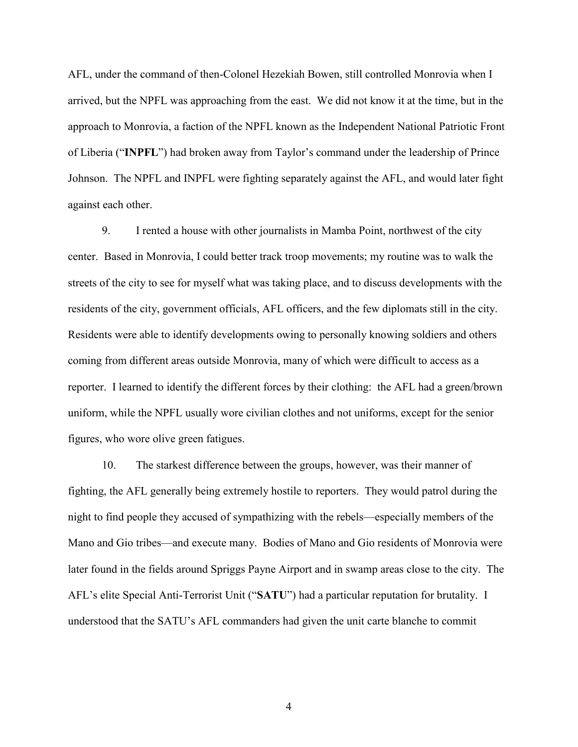AFL, under the command of then-Colonel Hezekiah Bowen, still controlled Monrovia when I arrived, but the NPFL was approaching from the east. We did not know it at the time, but in the approach to Monrovia, a faction of the NPFL known as the Independent National Patriotic Front of Liberia ("**INPFL**") had broken away from Taylor's command under the leadership of Prince Johnson. The NPFL and INPFL were fighting separately against the AFL, and would later fight against each other.

9. I rented a house with other journalists in Mamba Point, northwest of the city center. Based in Monrovia, I could better track troop movements; my routine was to walk the streets of the city to see for myself what was taking place, and to discuss developments with the residents of the city, government officials, AFL officers, and the few diplomats still in the city. Residents were able to identify developments owing to personally knowing soldiers and others coming from different areas outside Monrovia, many of which were difficult to access as a reporter. I learned to identify the different forces by their clothing: the AFL had a green/brown uniform, while the NPFL usually wore civilian clothes and not uniforms, except for the senior figures, who wore olive green fatigues.

10. The starkest difference between the groups, however, was their manner of fighting, the AFL generally being extremely hostile to reporters. They would patrol during the night to find people they accused of sympathizing with the rebels—especially members of the Mano and Gio tribes—and execute many. Bodies of Mano and Gio residents of Monrovia were later found in the fields around Spriggs Payne Airport and in swamp areas close to the city. The AFL's elite Special Anti-Terrorist Unit ("**SATU**") had a particular reputation for brutality. I understood that the SATU's AFL commanders had given the unit carte blanche to commit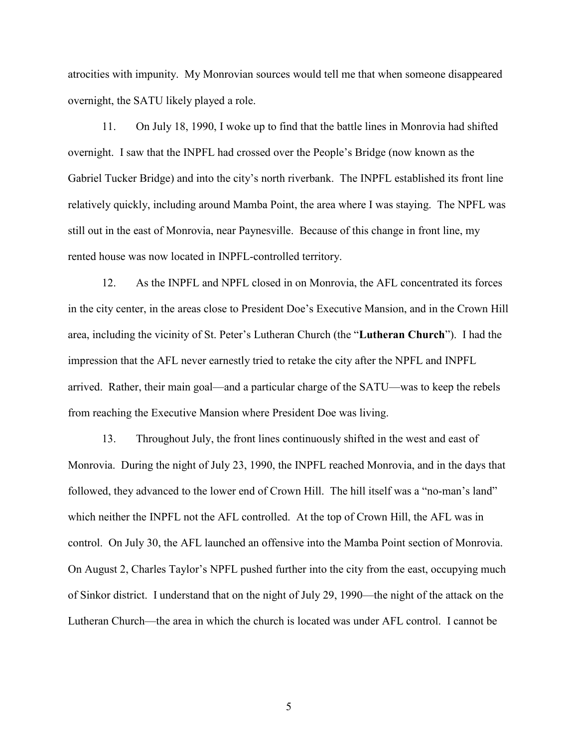atrocities with impunity. My Monrovian sources would tell me that when someone disappeared overnight, the SATU likely played a role.

11. On July 18, 1990, I woke up to find that the battle lines in Monrovia had shifted overnight. I saw that the INPFL had crossed over the People's Bridge (now known as the Gabriel Tucker Bridge) and into the city's north riverbank. The INPFL established its front line relatively quickly, including around Mamba Point, the area where I was staying. The NPFL was still out in the east of Monrovia, near Paynesville. Because of this change in front line, my rented house was now located in INPFL-controlled territory.

12. As the INPFL and NPFL closed in on Monrovia, the AFL concentrated its forces in the city center, in the areas close to President Doe's Executive Mansion, and in the Crown Hill area, including the vicinity of St. Peter's Lutheran Church (the "**Lutheran Church**"). I had the impression that the AFL never earnestly tried to retake the city after the NPFL and INPFL arrived. Rather, their main goal—and a particular charge of the SATU—was to keep the rebels from reaching the Executive Mansion where President Doe was living.

13. Throughout July, the front lines continuously shifted in the west and east of Monrovia. During the night of July 23, 1990, the INPFL reached Monrovia, and in the days that followed, they advanced to the lower end of Crown Hill. The hill itself was a "no-man's land" which neither the INPFL not the AFL controlled. At the top of Crown Hill, the AFL was in control. On July 30, the AFL launched an offensive into the Mamba Point section of Monrovia. On August 2, Charles Taylor's NPFL pushed further into the city from the east, occupying much of Sinkor district. I understand that on the night of July 29, 1990—the night of the attack on the Lutheran Church—the area in which the church is located was under AFL control. I cannot be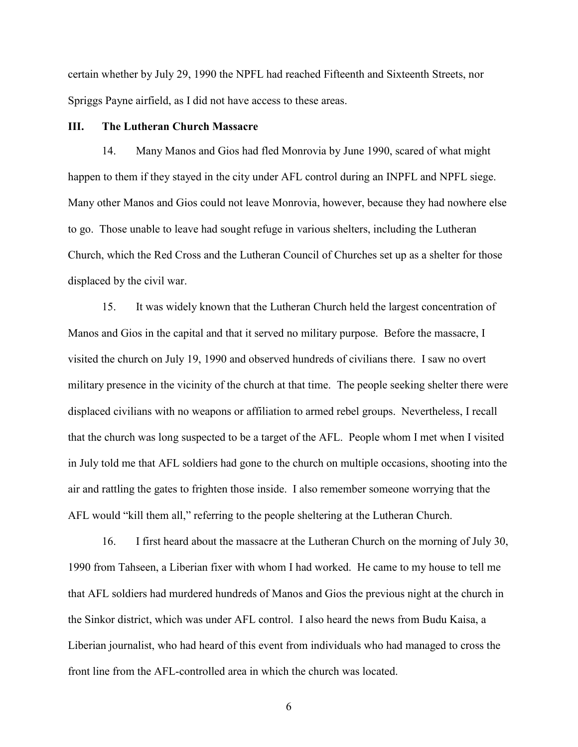certain whether by July 29, 1990 the NPFL had reached Fifteenth and Sixteenth Streets, nor Spriggs Payne airfield, as I did not have access to these areas.

### **III. The Lutheran Church Massacre**

14. Many Manos and Gios had fled Monrovia by June 1990, scared of what might happen to them if they stayed in the city under AFL control during an INPFL and NPFL siege. Many other Manos and Gios could not leave Monrovia, however, because they had nowhere else to go. Those unable to leave had sought refuge in various shelters, including the Lutheran Church, which the Red Cross and the Lutheran Council of Churches set up as a shelter for those displaced by the civil war.

15. It was widely known that the Lutheran Church held the largest concentration of Manos and Gios in the capital and that it served no military purpose. Before the massacre, I visited the church on July 19, 1990 and observed hundreds of civilians there. I saw no overt military presence in the vicinity of the church at that time. The people seeking shelter there were displaced civilians with no weapons or affiliation to armed rebel groups. Nevertheless, I recall that the church was long suspected to be a target of the AFL. People whom I met when I visited in July told me that AFL soldiers had gone to the church on multiple occasions, shooting into the air and rattling the gates to frighten those inside. I also remember someone worrying that the AFL would "kill them all," referring to the people sheltering at the Lutheran Church.

16. I first heard about the massacre at the Lutheran Church on the morning of July 30, 1990 from Tahseen, a Liberian fixer with whom I had worked. He came to my house to tell me that AFL soldiers had murdered hundreds of Manos and Gios the previous night at the church in the Sinkor district, which was under AFL control. I also heard the news from Budu Kaisa, a Liberian journalist, who had heard of this event from individuals who had managed to cross the front line from the AFL-controlled area in which the church was located.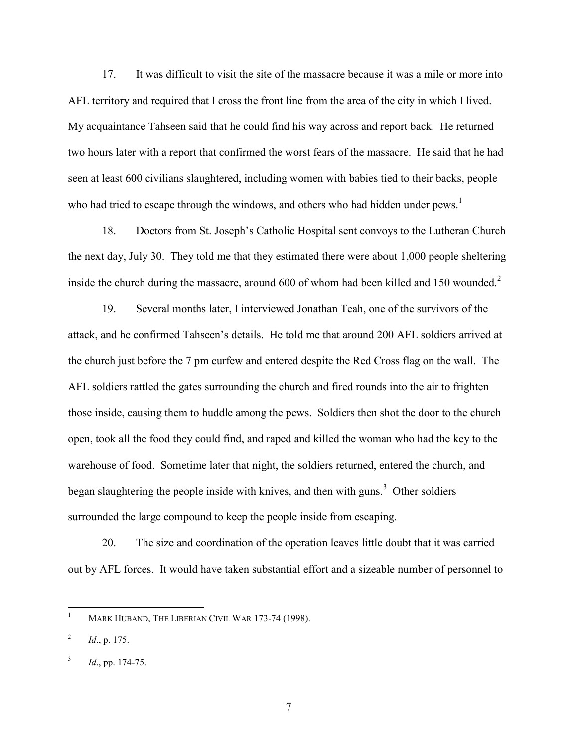17. It was difficult to visit the site of the massacre because it was a mile or more into AFL territory and required that I cross the front line from the area of the city in which I lived. My acquaintance Tahseen said that he could find his way across and report back. He returned two hours later with a report that confirmed the worst fears of the massacre. He said that he had seen at least 600 civilians slaughtered, including women with babies tied to their backs, people who had tried to escape through the windows, and others who had hidden under pews.<sup>1</sup>

18. Doctors from St. Joseph's Catholic Hospital sent convoys to the Lutheran Church the next day, July 30. They told me that they estimated there were about 1,000 people sheltering inside the church during the massacre, around 600 of whom had been killed and 150 wounded.<sup>2</sup>

19. Several months later, I interviewed Jonathan Teah, one of the survivors of the attack, and he confirmed Tahseen's details. He told me that around 200 AFL soldiers arrived at the church just before the 7 pm curfew and entered despite the Red Cross flag on the wall. The AFL soldiers rattled the gates surrounding the church and fired rounds into the air to frighten those inside, causing them to huddle among the pews. Soldiers then shot the door to the church open, took all the food they could find, and raped and killed the woman who had the key to the warehouse of food. Sometime later that night, the soldiers returned, entered the church, and began slaughtering the people inside with knives, and then with guns.<sup>3</sup> Other soldiers surrounded the large compound to keep the people inside from escaping.

20. The size and coordination of the operation leaves little doubt that it was carried out by AFL forces. It would have taken substantial effort and a sizeable number of personnel to

 $\mathbf{1}$ MARK HUBAND, THE LIBERIAN CIVIL WAR 173-74 (1998).

<sup>2</sup> *Id*., p. 175.

<sup>3</sup> *Id*., pp. 174-75.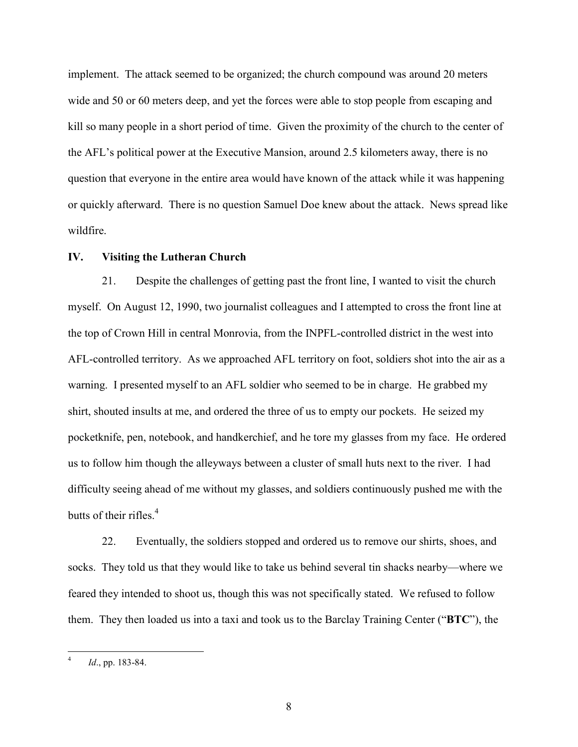implement. The attack seemed to be organized; the church compound was around 20 meters wide and 50 or 60 meters deep, and yet the forces were able to stop people from escaping and kill so many people in a short period of time. Given the proximity of the church to the center of the AFL's political power at the Executive Mansion, around 2.5 kilometers away, there is no question that everyone in the entire area would have known of the attack while it was happening or quickly afterward. There is no question Samuel Doe knew about the attack. News spread like wildfire.

#### **IV. Visiting the Lutheran Church**

21. Despite the challenges of getting past the front line, I wanted to visit the church myself. On August 12, 1990, two journalist colleagues and I attempted to cross the front line at the top of Crown Hill in central Monrovia, from the INPFL-controlled district in the west into AFL-controlled territory. As we approached AFL territory on foot, soldiers shot into the air as a warning. I presented myself to an AFL soldier who seemed to be in charge. He grabbed my shirt, shouted insults at me, and ordered the three of us to empty our pockets. He seized my pocketknife, pen, notebook, and handkerchief, and he tore my glasses from my face. He ordered us to follow him though the alleyways between a cluster of small huts next to the river. I had difficulty seeing ahead of me without my glasses, and soldiers continuously pushed me with the butts of their rifles.<sup>4</sup>

22. Eventually, the soldiers stopped and ordered us to remove our shirts, shoes, and socks. They told us that they would like to take us behind several tin shacks nearby—where we feared they intended to shoot us, though this was not specifically stated. We refused to follow them. They then loaded us into a taxi and took us to the Barclay Training Center ("**BTC**"), the

 $\frac{1}{4}$ *Id*., pp. 183-84.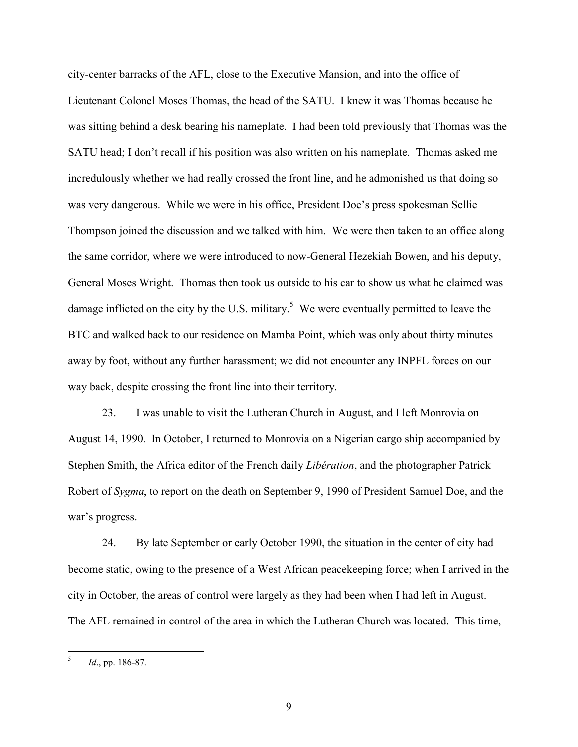city-center barracks of the AFL, close to the Executive Mansion, and into the office of Lieutenant Colonel Moses Thomas, the head of the SATU. I knew it was Thomas because he was sitting behind a desk bearing his nameplate. I had been told previously that Thomas was the SATU head; I don't recall if his position was also written on his nameplate. Thomas asked me incredulously whether we had really crossed the front line, and he admonished us that doing so was very dangerous. While we were in his office, President Doe's press spokesman Sellie Thompson joined the discussion and we talked with him. We were then taken to an office along the same corridor, where we were introduced to now-General Hezekiah Bowen, and his deputy, General Moses Wright. Thomas then took us outside to his car to show us what he claimed was damage inflicted on the city by the U.S. military.<sup>5</sup> We were eventually permitted to leave the BTC and walked back to our residence on Mamba Point, which was only about thirty minutes away by foot, without any further harassment; we did not encounter any INPFL forces on our way back, despite crossing the front line into their territory.

23. I was unable to visit the Lutheran Church in August, and I left Monrovia on August 14, 1990. In October, I returned to Monrovia on a Nigerian cargo ship accompanied by Stephen Smith, the Africa editor of the French daily *Libération*, and the photographer Patrick Robert of *Sygma*, to report on the death on September 9, 1990 of President Samuel Doe, and the war's progress.

24. By late September or early October 1990, the situation in the center of city had become static, owing to the presence of a West African peacekeeping force; when I arrived in the city in October, the areas of control were largely as they had been when I had left in August. The AFL remained in control of the area in which the Lutheran Church was located. This time,

 5 *Id*., pp. 186-87.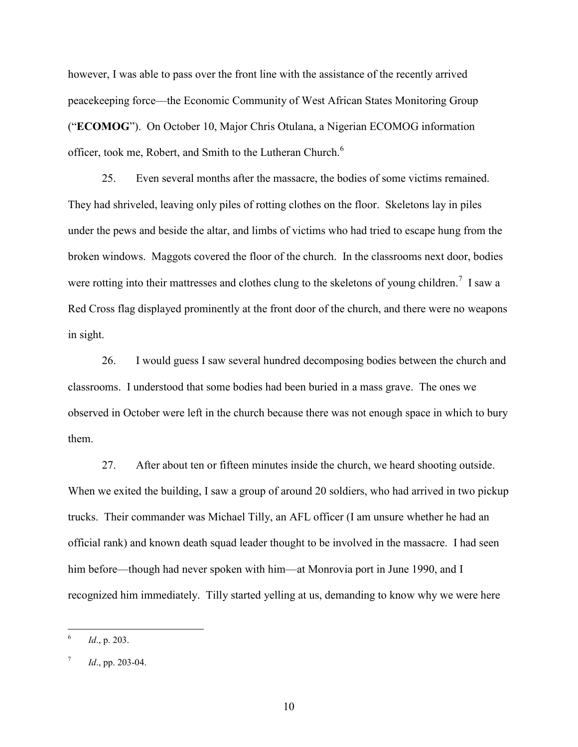however, I was able to pass over the front line with the assistance of the recently arrived peacekeeping force—the Economic Community of West African States Monitoring Group ("**ECOMOG**"). On October 10, Major Chris Otulana, a Nigerian ECOMOG information officer, took me, Robert, and Smith to the Lutheran Church.<sup>6</sup>

25. Even several months after the massacre, the bodies of some victims remained. They had shriveled, leaving only piles of rotting clothes on the floor. Skeletons lay in piles under the pews and beside the altar, and limbs of victims who had tried to escape hung from the broken windows. Maggots covered the floor of the church. In the classrooms next door, bodies were rotting into their mattresses and clothes clung to the skeletons of young children.<sup>7</sup> I saw a Red Cross flag displayed prominently at the front door of the church, and there were no weapons in sight.

26. I would guess I saw several hundred decomposing bodies between the church and classrooms. I understood that some bodies had been buried in a mass grave. The ones we observed in October were left in the church because there was not enough space in which to bury them.

27. After about ten or fifteen minutes inside the church, we heard shooting outside. When we exited the building, I saw a group of around 20 soldiers, who had arrived in two pickup trucks. Their commander was Michael Tilly, an AFL officer (I am unsure whether he had an official rank) and known death squad leader thought to be involved in the massacre. I had seen him before—though had never spoken with him—at Monrovia port in June 1990, and I recognized him immediately. Tilly started yelling at us, demanding to know why we were here

 $\frac{1}{6}$ *Id*., p. 203.

<sup>7</sup> *Id*., pp. 203-04.